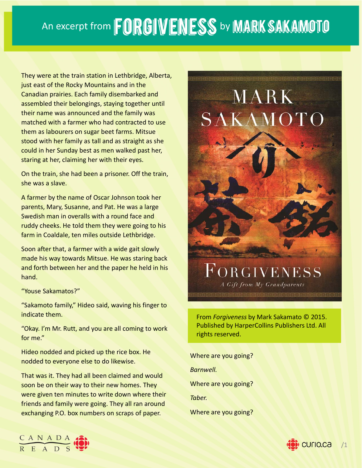# An excerpt from FORGIVENESS by MARK SAKAMOTO

They were at the train station in Lethbridge, Alberta, just east of the Rocky Mountains and in the Canadian prairies. Each family disembarked and assembled their belongings, staying together until their name was announced and the family was matched with a farmer who had contracted to use them as labourers on sugar beet farms. Mitsue stood with her family as tall and as straight as she could in her Sunday best as men walked past her, staring at her, claiming her with their eyes.

On the train, she had been a prisoner. Off the train, she was a slave.

A farmer by the name of Oscar Johnson took her parents, Mary, Susanne, and Pat. He was a large Swedish man in overalls with a round face and ruddy cheeks. He told them they were going to his farm in Coaldale, ten miles outside Lethbridge.

Soon after that, a farmer with a wide gait slowly made his way towards Mitsue. He was staring back and forth between her and the paper he held in his hand.

#### "Youse Sakamatos?"

"Sakamoto family," Hideo said, waving his finger to indicate them.

"Okay. I'm Mr. Rutt, and you are all coming to work for me."

Hideo nodded and picked up the rice box. He nodded to everyone else to do likewise.

That was it. They had all been claimed and would soon be on their way to their new homes. They were given ten minutes to write down where their friends and family were going. They all ran around exchanging P.O. box numbers on scraps of paper.



### FORGIVENESS A Gift from My Grandparents

From *Forgiveness* by Mark Sakamato © 2015. Published by HarperCollins Publishers Ltd. All rights reserved.

Where are you going? *Barnwell.* Where are you going? *Taber.* Where are you going?



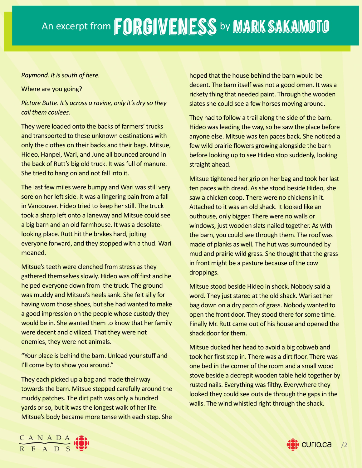### *Raymond. It issouth of here.*

Where are you going?

*Picture Butte. It's across a ravine, only it's dry so they call them coulees.*

They were loaded onto the backs of farmers' trucks and transported to these unknown destinations with only the clothes on their backs and their bags. Mitsue, Hideo, Hanpei, Wari, and June all bounced around in the back of Rutt's big old truck. It was full of manure. She tried to hang on and not fall into it.

The last few miles were bumpy and Wari was still very sore on her left side. It was a lingering pain from a fall in Vancouver. Hideo tried to keep her still. The truck took a sharp left onto a laneway and Mitsue could see a big barn and an old farmhouse. It was a desolate‐ looking place. Rutt hit the brakes hard, jolting everyone forward, and they stopped with a thud. Wari moaned.

Mitsue's teeth were clenched from stress as they gathered themselves slowly. Hideo was off first and he helped everyone down from the truck. The ground was muddy and Mitsue's heels sank. She felt silly for having worn those shoes, but she had wanted to make a good impression on the people whose custody they would be in. She wanted them to know that her family were decent and civilized. That they were not enemies, they were not animals.

"Your place is behind the barn. Unload your stuff and I'll come by to show you around."

They each picked up a bag and made their way towards the barn. Mitsue stepped carefully around the muddy patches. The dirt path was only a hundred yards or so, but it was the longest walk of her life. Mitsue's body became more tense with each step. She

hoped that the house behind the barn would be decent. The barn itself was not a good omen. It was a rickety thing that needed paint. Through the wooden slates she could see a few horses moving around.

They had to follow a trail along the side of the barn. Hideo was leading the way, so he saw the place before anyone else. Mitsue was ten paces back. She noticed a few wild prairie flowers growing alongside the barn before looking up to see Hideo stop suddenly, looking straight ahead.

Mitsue tightened her grip on her bag and took her last ten paces with dread. As she stood beside Hideo, she saw a chicken coop. There were no chickens in it. Attached to it was an old shack. It looked like an outhouse, only bigger. There were no walls or windows, just wooden slats nailed together. As with the barn, you could see through them. The roof was made of planks as well. The hut was surrounded by mud and prairie wild grass. She thought that the grass in front might be a pasture because of the cow droppings.

Mitsue stood beside Hideo in shock. Nobody said a word. They just stared at the old shack. Wari set her bag down on a dry patch of grass. Nobody wanted to open the front door. They stood there for some time. Finally Mr. Rutt came out of his house and opened the shack door for them.

Mitsue ducked her head to avoid a big cobweb and took her first step in. There was a dirt floor. There was one bed in the corner of the room and a small wood stove beside a decrepit wooden table held together by rusted nails. Everything was filthy. Everywhere they looked they could see outside through the gaps in the walls. The wind whistled right through the shack.